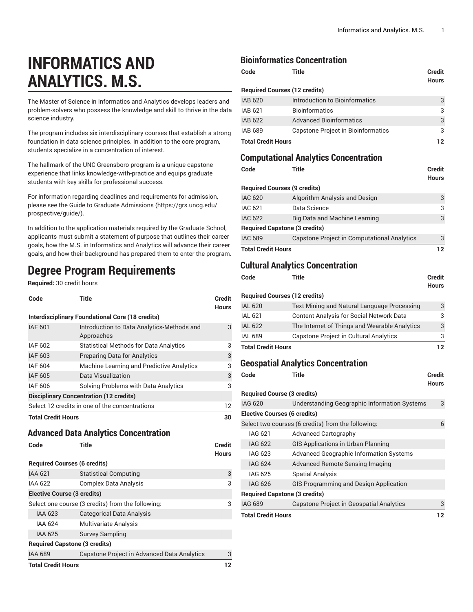# **INFORMATICS AND ANALYTICS. M.S.**

The Master of Science in Informatics and Analytics develops leaders and problem-solvers who possess the knowledge and skill to thrive in the data science industry.

The program includes six interdisciplinary courses that establish a strong foundation in data science principles. In addition to the core program, students specialize in a concentration of interest.

The hallmark of the UNC Greensboro program is a unique capstone experience that links knowledge-with-practice and equips graduate students with key skills for professional success.

For information regarding deadlines and requirements for admission, please see the [Guide to Graduate Admissions](https://grs.uncg.edu/prospective/guide/) ([https://grs.uncg.edu/](https://grs.uncg.edu/prospective/guide/) [prospective/guide/](https://grs.uncg.edu/prospective/guide/)).

In addition to the application materials required by the Graduate School, applicants must submit a statement of purpose that outlines their career goals, how the M.S. in Informatics and Analytics will advance their career goals, and how their background has prepared them to enter the program.

# **Degree Program Requirements**

**Required:** 30 credit hours

| Code                                                    | Title                                                    | <b>Credit</b><br><b>Hours</b> |
|---------------------------------------------------------|----------------------------------------------------------|-------------------------------|
| <b>Interdisciplinary Foundational Core (18 credits)</b> |                                                          |                               |
| <b>IAF 601</b>                                          | Introduction to Data Analytics-Methods and<br>Approaches | 3                             |
| IAF 602                                                 | <b>Statistical Methods for Data Analytics</b>            | 3                             |
| IAF 603                                                 | <b>Preparing Data for Analytics</b>                      | 3                             |
| IAF 604                                                 | Machine Learning and Predictive Analytics                | 3                             |
| <b>IAF 605</b>                                          | Data Visualization                                       | 3                             |
| IAF 606                                                 | Solving Problems with Data Analytics                     | 3                             |
| <b>Disciplinary Concentration (12 credits)</b>          |                                                          |                               |
| Select 12 credits in one of the concentrations          |                                                          | 12                            |
| <b>Total Credit Hours</b>                               |                                                          | 30                            |

#### **Advanced Data Analytics Concentration**

| Code                                 | Title                                             | <b>Credit</b><br><b>Hours</b> |
|--------------------------------------|---------------------------------------------------|-------------------------------|
| <b>Required Courses (6 credits)</b>  |                                                   |                               |
| <b>IAA 621</b>                       | <b>Statistical Computing</b>                      | 3                             |
| <b>IAA 622</b>                       | <b>Complex Data Analysis</b>                      | 3                             |
| <b>Elective Course (3 credits)</b>   |                                                   |                               |
|                                      | Select one course (3 credits) from the following: | 3                             |
| <b>IAA 623</b>                       | <b>Categorical Data Analysis</b>                  |                               |
| IAA 624                              | <b>Multivariate Analysis</b>                      |                               |
| IAA 625                              | <b>Survey Sampling</b>                            |                               |
| <b>Required Capstone (3 credits)</b> |                                                   |                               |
| <b>IAA 689</b>                       | Capstone Project in Advanced Data Analytics       | 3                             |
| <b>Total Credit Hours</b>            |                                                   | 12                            |

## **Bioinformatics Concentration**

| Code                      | <b>Title</b>                         | Credit<br><b>Hours</b> |
|---------------------------|--------------------------------------|------------------------|
|                           | <b>Required Courses (12 credits)</b> |                        |
| <b>IAB 620</b>            | Introduction to Bioinformatics       | 3                      |
| IAB 621                   | <b>Bioinformatics</b>                | 3                      |
| <b>IAB 622</b>            | <b>Advanced Bioinformatics</b>       | 3                      |
| IAB 689                   | Capstone Project in Bioinformatics   | 3                      |
| <b>Total Credit Hours</b> | 12                                   |                        |

## **Computational Analytics Concentration**

| Code                                 | Title                                                                                          | Credit<br>Hours |
|--------------------------------------|------------------------------------------------------------------------------------------------|-----------------|
| <b>Required Courses (9 credits)</b>  |                                                                                                |                 |
| <b>IAC 620</b>                       | Algorithm Analysis and Design                                                                  | 3               |
| <b>IAC 621</b>                       | Data Science                                                                                   | 3               |
| <b>IAC 622</b>                       | <b>Big Data and Machine Learning</b>                                                           | 3               |
| <b>Required Capstone (3 credits)</b> |                                                                                                |                 |
| <b>IAC 689</b>                       | <b>Capstone Project in Computational Analytics</b>                                             | 3               |
| <b>Total Credit Hours</b>            |                                                                                                | 12              |
|                                      |                                                                                                |                 |
|                                      | <b>Cultural Analytics Concentration</b>                                                        |                 |
| Code                                 | <b>Title</b>                                                                                   | Credit<br>Hours |
| <b>Required Courses (12 credits)</b> |                                                                                                |                 |
| <b>IAL 620</b>                       |                                                                                                | 3               |
|                                      | Text Mining and Natural Language Processing<br><b>Content Analysis for Social Network Data</b> |                 |
| <b>IAL 621</b>                       |                                                                                                | 3               |
| <b>IAL 622</b>                       | The Internet of Things and Wearable Analytics                                                  | 3               |
| <b>IAL 689</b>                       | Capstone Project in Cultural Analytics                                                         | 3               |
| <b>Total Credit Hours</b>            |                                                                                                | 12              |
|                                      | <b>Geospatial Analytics Concentration</b>                                                      |                 |
| Code                                 | <b>Title</b>                                                                                   | Credit          |
|                                      |                                                                                                | Hours           |
| <b>Required Course (3 credits)</b>   |                                                                                                |                 |
| <b>IAG 620</b>                       | Understanding Geographic Information Systems                                                   | 3               |
| <b>Elective Courses (6 credits)</b>  |                                                                                                |                 |
|                                      | Select two courses (6 credits) from the following:                                             | 6               |
| <b>IAG 621</b>                       | <b>Advanced Cartography</b>                                                                    |                 |
| <b>IAG 622</b>                       | <b>GIS Applications in Urban Planning</b>                                                      |                 |
| <b>IAG 623</b>                       | <b>Advanced Geographic Information Systems</b>                                                 |                 |
| <b>IAG 624</b>                       | <b>Advanced Remote Sensing-Imaging</b>                                                         |                 |
| <b>IAG 625</b>                       | <b>Spatial Analysis</b>                                                                        |                 |
| <b>IAG 626</b>                       | GIS Programming and Design Application                                                         |                 |
| <b>Required Capstone (3 credits)</b> |                                                                                                |                 |
| <b>IAG 689</b>                       | <b>Capstone Project in Geospatial Analytics</b>                                                | 3               |
| <b>Total Credit Hours</b>            |                                                                                                | 12              |